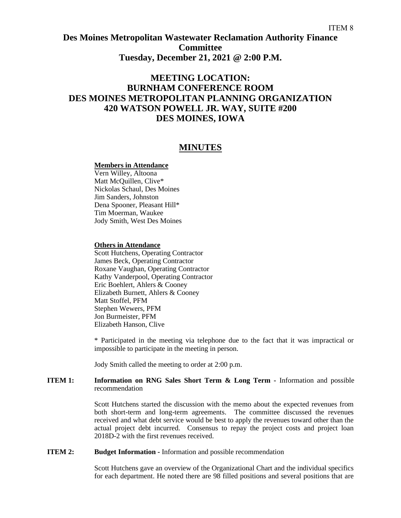## **Des Moines Metropolitan Wastewater Reclamation Authority Finance Committee Tuesday, December 21, 2021 @ 2:00 P.M.**

# **MEETING LOCATION: BURNHAM CONFERENCE ROOM DES MOINES METROPOLITAN PLANNING ORGANIZATION 420 WATSON POWELL JR. WAY, SUITE #200 DES MOINES, IOWA**

### **MINUTES**

#### **Members in Attendance**

Vern Willey, Altoona Matt McQuillen, Clive\* Nickolas Schaul, Des Moines Jim Sanders, Johnston Dena Spooner, Pleasant Hill\* Tim Moerman, Waukee Jody Smith, West Des Moines

#### **Others in Attendance**

Scott Hutchens, Operating Contractor James Beck, Operating Contractor Roxane Vaughan, Operating Contractor Kathy Vanderpool, Operating Contractor Eric Boehlert, Ahlers & Cooney Elizabeth Burnett, Ahlers & Cooney Matt Stoffel, PFM Stephen Wewers, PFM Jon Burmeister, PFM Elizabeth Hanson, Clive

\* Participated in the meeting via telephone due to the fact that it was impractical or impossible to participate in the meeting in person.

Jody Smith called the meeting to order at 2:00 p.m.

#### **ITEM 1: Information on RNG Sales Short Term & Long Term -** Information and possible recommendation

Scott Hutchens started the discussion with the memo about the expected revenues from both short-term and long-term agreements. The committee discussed the revenues received and what debt service would be best to apply the revenues toward other than the actual project debt incurred. Consensus to repay the project costs and project loan 2018D-2 with the first revenues received.

#### **ITEM 2: Budget Information -** Information and possible recommendation

Scott Hutchens gave an overview of the Organizational Chart and the individual specifics for each department. He noted there are 98 filled positions and several positions that are